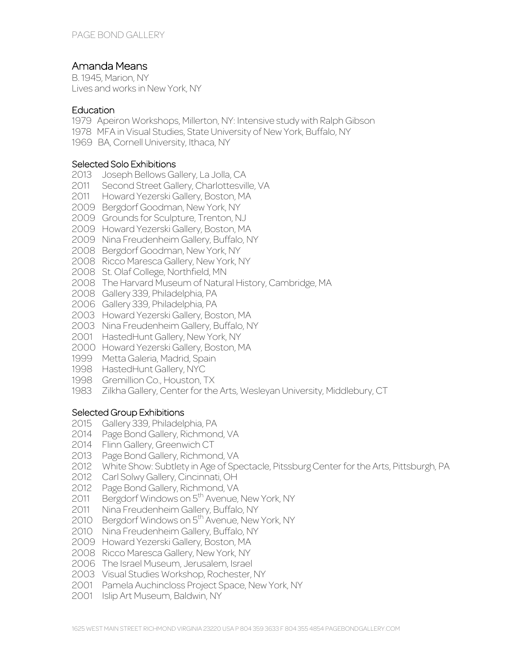# Amanda Means

B. 1945, Marion, NY Lives and works in New York, NY

#### **Education**

- 1979 Apeiron Workshops, Millerton, NY: Intensive study with Ralph Gibson
- 1978 MFA in Visual Studies, State University of New York, Buffalo, NY
- 1969 BA, Cornell University, Ithaca, NY

#### Selected Solo Exhibitions

- Joseph Bellows Gallery, La Jolla, CA
- Second Street Gallery, Charlottesville, VA
- Howard Yezerski Gallery, Boston, MA
- Bergdorf Goodman, New York, NY
- Grounds for Sculpture, Trenton, NJ
- Howard Yezerski Gallery, Boston, MA
- Nina Freudenheim Gallery, Buffalo, NY
- Bergdorf Goodman, New York, NY
- Ricco Maresca Gallery, New York, NY
- St. Olaf College, Northfield, MN
- The Harvard Museum of Natural History, Cambridge, MA
- Gallery 339, Philadelphia, PA
- Gallery 339, Philadelphia, PA
- Howard Yezerski Gallery, Boston, MA
- Nina Freudenheim Gallery, Buffalo, NY
- HastedHunt Gallery, New York, NY
- Howard Yezerski Gallery, Boston, MA
- Metta Galeria, Madrid, Spain
- HastedHunt Gallery, NYC
- Gremillion Co., Houston, TX
- Zilkha Gallery, Center for the Arts, Wesleyan University, Middlebury, CT

#### Selected Group Exhibitions

- Gallery 339, Philadelphia, PA
- 2014 Page Bond Gallery, Richmond, VA
- Flinn Gallery, Greenwich CT
- Page Bond Gallery, Richmond, VA
- White Show: Subtlety in Age of Spectacle, Pitssburg Center for the Arts, Pittsburgh, PA
- Carl Solwy Gallery, Cincinnati, OH
- Page Bond Gallery, Richmond, VA
- 2011 Bergdorf Windows on 5<sup>th</sup> Avenue, New York, NY
- Nina Freudenheim Gallery, Buffalo, NY
- 2010 Bergdorf Windows on 5<sup>th</sup> Avenue, New York, NY
- Nina Freudenheim Gallery, Buffalo, NY
- Howard Yezerski Gallery, Boston, MA
- Ricco Maresca Gallery, New York, NY
- The Israel Museum, Jerusalem, Israel
- Visual Studies Workshop, Rochester, NY
- Pamela Auchincloss Project Space, New York, NY
- Islip Art Museum, Baldwin, NY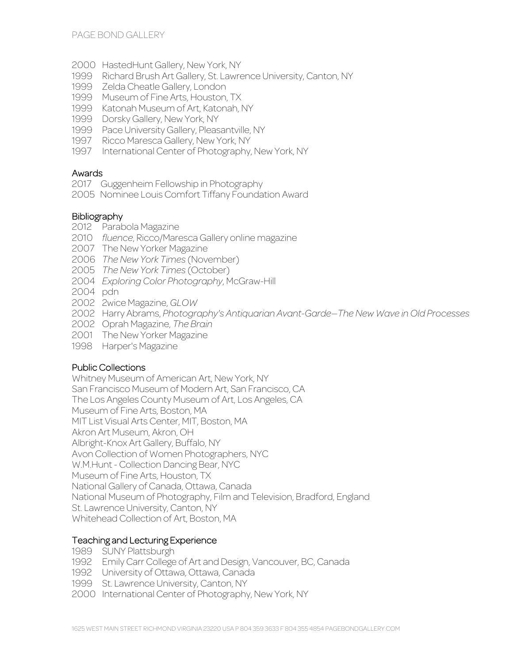- 2000 HastedHunt Gallery, New York, NY
- 1999 Richard Brush Art Gallery, St. Lawrence University, Canton, NY
- 1999 Zelda Cheatle Gallery, London
- 1999 Museum of Fine Arts, Houston, TX
- 1999 Katonah Museum of Art, Katonah, NY
- 1999 Dorsky Gallery, New York, NY
- 1999 Pace University Gallery, Pleasantville, NY
- 1997 Ricco Maresca Gallery, New York, NY
- 1997 International Center of Photography, New York, NY

#### Awards

- 2017 Guggenheim Fellowship in Photography
- 2005 Nominee Louis Comfort Tiffany Foundation Award

# Bibliography

- 2012 Parabola Magazine
- 2010 *fluence*, Ricco/Maresca Gallery online magazine
- 2007 The New Yorker Magazine
- 2006 *The New York Times* (November)
- 2005 *The New York Times* (October)
- 2004 *Exploring Color Photography*, McGraw-Hill
- 2004 pdn
- 2002 2wice Magazine, *GLOW*
- 2002 Harry Abrams, *Photography's Antiquarian Avant-Garde—The New Wave in Old Processes*
- 2002 Oprah Magazine, *The Brain*
- 2001 The New Yorker Magazine
- 1998 Harper's Magazine

## Public Collections

Whitney Museum of American Art, New York, NY San Francisco Museum of Modern Art, San Francisco, CA The Los Angeles County Museum of Art, Los Angeles, CA Museum of Fine Arts, Boston, MA MIT List Visual Arts Center, MIT, Boston, MA Akron Art Museum, Akron, OH Albright-Knox Art Gallery, Buffalo, NY Avon Collection of Women Photographers, NYC W.M.Hunt - Collection Dancing Bear, NYC Museum of Fine Arts, Houston, TX National Gallery of Canada, Ottawa, Canada National Museum of Photography, Film and Television, Bradford, England St. Lawrence University, Canton, NY Whitehead Collection of Art, Boston, MA

## Teaching and Lecturing Experience

- 1989 SUNY Plattsburgh
- 1992 Emily Carr College of Art and Design, Vancouver, BC, Canada
- 1992 University of Ottawa, Ottawa, Canada
- 1999 St. Lawrence University, Canton, NY
- 2000 International Center of Photography, New York, NY